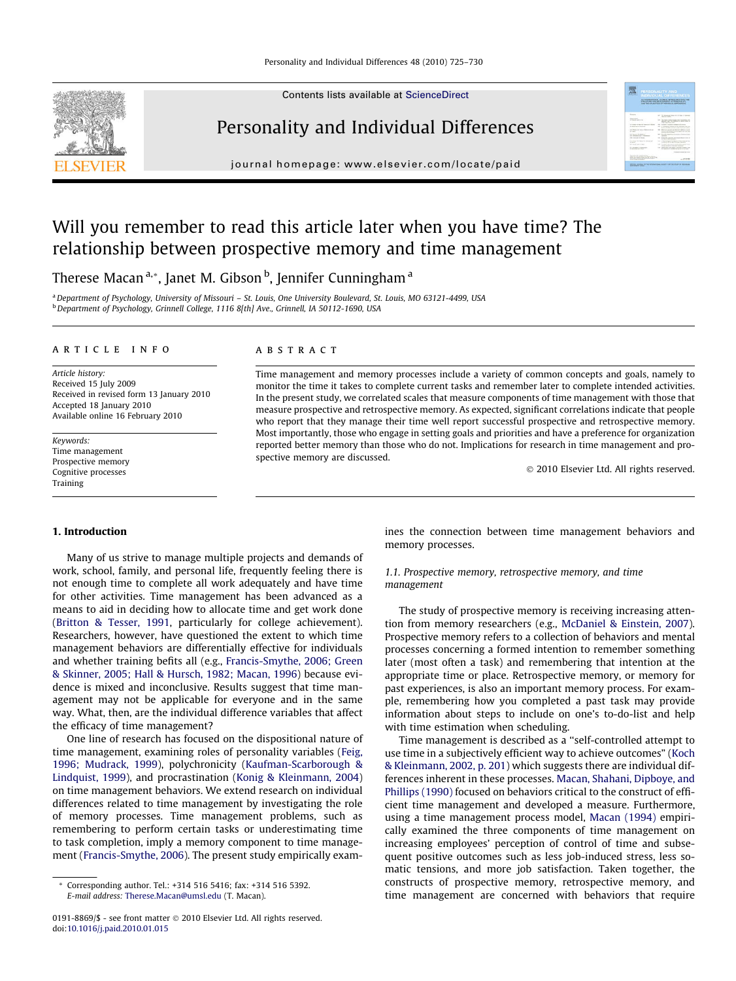

Contents lists available at [ScienceDirect](http://www.sciencedirect.com/science/journal/01918869)

## Personality and Individual Differences

journal homepage: [www.elsevier.com/locate/paid](http://www.elsevier.com/locate/paid)

# **CONTRACTOR**

# Will you remember to read this article later when you have time? The relationship between prospective memory and time management

Therese Macan <sup>a,</sup>\*, Janet M. Gibson <sup>b</sup>, Jennifer Cunningham <sup>a</sup>

<sup>a</sup> Department of Psychology, University of Missouri – St. Louis, One University Boulevard, St. Louis, MO 63121-4499, USA <sup>b</sup> Department of Psychology, Grinnell College, 1116 8[th] Ave., Grinnell, IA 50112-1690, USA

### article info

Article history: Received 15 July 2009 Received in revised form 13 January 2010 Accepted 18 January 2010 Available online 16 February 2010

Keywords: Time management Prospective memory Cognitive processes Training

### ABSTRACT

Time management and memory processes include a variety of common concepts and goals, namely to monitor the time it takes to complete current tasks and remember later to complete intended activities. In the present study, we correlated scales that measure components of time management with those that measure prospective and retrospective memory. As expected, significant correlations indicate that people who report that they manage their time well report successful prospective and retrospective memory. Most importantly, those who engage in setting goals and priorities and have a preference for organization reported better memory than those who do not. Implications for research in time management and prospective memory are discussed.

- 2010 Elsevier Ltd. All rights reserved.

### 1. Introduction

Many of us strive to manage multiple projects and demands of work, school, family, and personal life, frequently feeling there is not enough time to complete all work adequately and have time for other activities. Time management has been advanced as a means to aid in deciding how to allocate time and get work done ([Britton & Tesser, 1991](#page--1-0), particularly for college achievement). Researchers, however, have questioned the extent to which time management behaviors are differentially effective for individuals and whether training befits all (e.g., [Francis-Smythe, 2006; Green](#page--1-0) [& Skinner, 2005; Hall & Hursch, 1982; Macan, 1996](#page--1-0)) because evidence is mixed and inconclusive. Results suggest that time management may not be applicable for everyone and in the same way. What, then, are the individual difference variables that affect the efficacy of time management?

One line of research has focused on the dispositional nature of time management, examining roles of personality variables [\(Feig,](#page--1-0) [1996; Mudrack, 1999\)](#page--1-0), polychronicity ([Kaufman-Scarborough &](#page--1-0) [Lindquist, 1999\)](#page--1-0), and procrastination [\(Konig & Kleinmann, 2004\)](#page--1-0) on time management behaviors. We extend research on individual differences related to time management by investigating the role of memory processes. Time management problems, such as remembering to perform certain tasks or underestimating time to task completion, imply a memory component to time management [\(Francis-Smythe, 2006\)](#page--1-0). The present study empirically examines the connection between time management behaviors and memory processes.

1.1. Prospective memory, retrospective memory, and time management

The study of prospective memory is receiving increasing attention from memory researchers (e.g., [McDaniel & Einstein, 2007\)](#page--1-0). Prospective memory refers to a collection of behaviors and mental processes concerning a formed intention to remember something later (most often a task) and remembering that intention at the appropriate time or place. Retrospective memory, or memory for past experiences, is also an important memory process. For example, remembering how you completed a past task may provide information about steps to include on one's to-do-list and help with time estimation when scheduling.

Time management is described as a ''self-controlled attempt to use time in a subjectively efficient way to achieve outcomes" ([Koch](#page--1-0) [& Kleinmann, 2002, p. 201\)](#page--1-0) which suggests there are individual differences inherent in these processes. [Macan, Shahani, Dipboye, and](#page--1-0) [Phillips \(1990\)](#page--1-0) focused on behaviors critical to the construct of efficient time management and developed a measure. Furthermore, using a time management process model, [Macan \(1994\)](#page--1-0) empirically examined the three components of time management on increasing employees' perception of control of time and subsequent positive outcomes such as less job-induced stress, less somatic tensions, and more job satisfaction. Taken together, the constructs of prospective memory, retrospective memory, and time management are concerned with behaviors that require

Corresponding author. Tel.: +314 516 5416; fax: +314 516 5392. E-mail address: [Therese.Macan@umsl.edu](mailto:Therese.Macan@umsl.edu) (T. Macan).

<sup>0191-8869/\$ -</sup> see front matter © 2010 Elsevier Ltd. All rights reserved. doi[:10.1016/j.paid.2010.01.015](http://dx.doi.org/10.1016/j.paid.2010.01.015)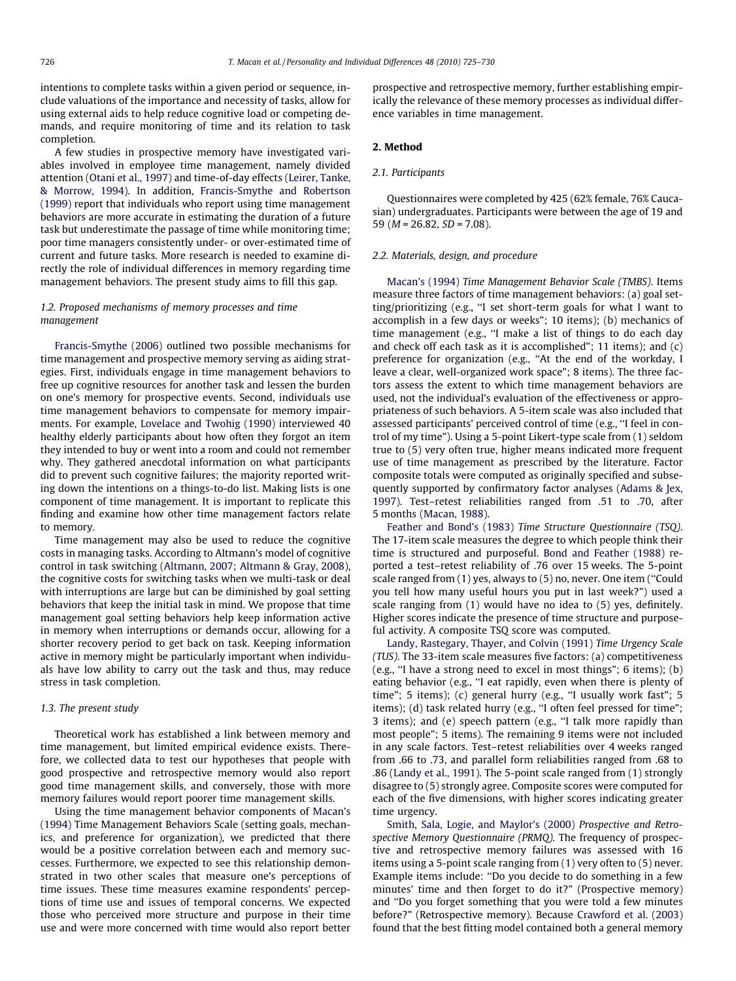intentions to complete tasks within a given period or sequence, include valuations of the importance and necessity of tasks, allow for using external aids to help reduce cognitive load or competing demands, and require monitoring of time and its relation to task completion.

A few studies in prospective memory have investigated variables involved in employee time management, namely divided attention [\(Otani et al., 1997](#page--1-0)) and time-of-day effects ([Leirer, Tanke,](#page--1-0) [& Morrow, 1994](#page--1-0)). In addition, [Francis-Smythe and Robertson](#page--1-0) [\(1999\)](#page--1-0) report that individuals who report using time management behaviors are more accurate in estimating the duration of a future task but underestimate the passage of time while monitoring time; poor time managers consistently under- or over-estimated time of current and future tasks. More research is needed to examine directly the role of individual differences in memory regarding time management behaviors. The present study aims to fill this gap.

### 1.2. Proposed mechanisms of memory processes and time management

[Francis-Smythe \(2006\)](#page--1-0) outlined two possible mechanisms for time management and prospective memory serving as aiding strategies. First, individuals engage in time management behaviors to free up cognitive resources for another task and lessen the burden on one's memory for prospective events. Second, individuals use time management behaviors to compensate for memory impairments. For example, [Lovelace and Twohig \(1990\)](#page--1-0) interviewed 40 healthy elderly participants about how often they forgot an item they intended to buy or went into a room and could not remember why. They gathered anecdotal information on what participants did to prevent such cognitive failures; the majority reported writing down the intentions on a things-to-do list. Making lists is one component of time management. It is important to replicate this finding and examine how other time management factors relate to memory.

Time management may also be used to reduce the cognitive costs in managing tasks. According to Altmann's model of cognitive control in task switching ([Altmann, 2007; Altmann & Gray, 2008\)](#page--1-0), the cognitive costs for switching tasks when we multi-task or deal with interruptions are large but can be diminished by goal setting behaviors that keep the initial task in mind. We propose that time management goal setting behaviors help keep information active in memory when interruptions or demands occur, allowing for a shorter recovery period to get back on task. Keeping information active in memory might be particularly important when individuals have low ability to carry out the task and thus, may reduce stress in task completion.

### 1.3. The present study

Theoretical work has established a link between memory and time management, but limited empirical evidence exists. Therefore, we collected data to test our hypotheses that people with good prospective and retrospective memory would also report good time management skills, and conversely, those with more memory failures would report poorer time management skills.

Using the time management behavior components of [Macan's](#page--1-0) [\(1994\)](#page--1-0) Time Management Behaviors Scale (setting goals, mechanics, and preference for organization), we predicted that there would be a positive correlation between each and memory successes. Furthermore, we expected to see this relationship demonstrated in two other scales that measure one's perceptions of time issues. These time measures examine respondents' perceptions of time use and issues of temporal concerns. We expected those who perceived more structure and purpose in their time use and were more concerned with time would also report better prospective and retrospective memory, further establishing empirically the relevance of these memory processes as individual difference variables in time management.

### 2. Method

### 2.1. Participants

Questionnaires were completed by 425 (62% female, 76% Caucasian) undergraduates. Participants were between the age of 19 and 59 ( $M = 26.82$ ,  $SD = 7.08$ ).

### 2.2. Materials, design, and procedure

[Macan's \(1994\)](#page--1-0) Time Management Behavior Scale (TMBS). Items measure three factors of time management behaviors: (a) goal setting/prioritizing (e.g., ''I set short-term goals for what I want to accomplish in a few days or weeks"; 10 items); (b) mechanics of time management (e.g., ''I make a list of things to do each day and check off each task as it is accomplished"; 11 items); and (c) preference for organization (e.g., "At the end of the workday, I leave a clear, well-organized work space"; 8 items). The three factors assess the extent to which time management behaviors are used, not the individual's evaluation of the effectiveness or appropriateness of such behaviors. A 5-item scale was also included that assessed participants' perceived control of time (e.g., ''I feel in control of my time"). Using a 5-point Likert-type scale from (1) seldom true to (5) very often true, higher means indicated more frequent use of time management as prescribed by the literature. Factor composite totals were computed as originally specified and subsequently supported by confirmatory factor analyses [\(Adams & Jex,](#page--1-0) [1997\)](#page--1-0). Test–retest reliabilities ranged from .51 to .70, after 5 months ([Macan, 1988\)](#page--1-0).

[Feather and Bond's \(1983\)](#page--1-0) Time Structure Questionnaire (TSQ). The 17-item scale measures the degree to which people think their time is structured and purposeful. [Bond and Feather \(1988\)](#page--1-0) reported a test–retest reliability of .76 over 15 weeks. The 5-point scale ranged from (1) yes, always to (5) no, never. One item (''Could you tell how many useful hours you put in last week?") used a scale ranging from (1) would have no idea to (5) yes, definitely. Higher scores indicate the presence of time structure and purposeful activity. A composite TSQ score was computed.

[Landy, Rastegary, Thayer, and Colvin \(1991\)](#page--1-0) Time Urgency Scale (TUS). The 33-item scale measures five factors: (a) competitiveness (e.g., ''I have a strong need to excel in most things"; 6 items); (b) eating behavior (e.g., ''I eat rapidly, even when there is plenty of time"; 5 items); (c) general hurry (e.g., "I usually work fast"; 5 items); (d) task related hurry (e.g., "I often feel pressed for time"; 3 items); and (e) speech pattern (e.g., ''I talk more rapidly than most people"; 5 items). The remaining 9 items were not included in any scale factors. Test–retest reliabilities over 4 weeks ranged from .66 to .73, and parallel form reliabilities ranged from .68 to .86 ([Landy et al., 1991](#page--1-0)). The 5-point scale ranged from (1) strongly disagree to (5) strongly agree. Composite scores were computed for each of the five dimensions, with higher scores indicating greater time urgency.

[Smith, Sala, Logie, and Maylor's \(2000\)](#page--1-0) Prospective and Retrospective Memory Questionnaire (PRMQ). The frequency of prospective and retrospective memory failures was assessed with 16 items using a 5-point scale ranging from (1) very often to (5) never. Example items include: ''Do you decide to do something in a few minutes' time and then forget to do it?" (Prospective memory) and ''Do you forget something that you were told a few minutes before?" (Retrospective memory). Because [Crawford et al. \(2003\)](#page--1-0) found that the best fitting model contained both a general memory